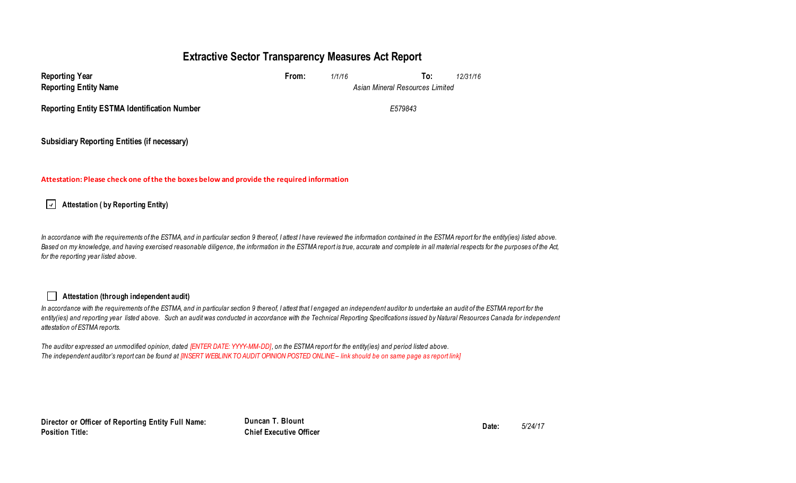# **Extractive Sector Transparency Measures Act Report**

| <b>Reporting Year</b><br><b>Reporting Entity Name</b> | From: | 1/1/16 | To:<br>Asian Mineral Resources Limited | 12/31/16 |
|-------------------------------------------------------|-------|--------|----------------------------------------|----------|
| <b>Reporting Entity ESTMA Identification Number</b>   |       |        | E579843                                |          |
| <b>Subsidiary Reporting Entities (if necessary)</b>   |       |        |                                        |          |

**Attestation: Please check one of the the boxes below and provide the required information**

#### $\sqrt{3}$ **Attestation ( by Reporting Entity)**

In accordance with the requirements of the ESTMA, and in particular section 9 thereof, I attest I have reviewed the information contained in the ESTMA report for the entity(ies) listed above. Based on my knowledge, and having exercised reasonable diligence, the information in the ESTMA report is true, accurate and complete in all material respects for the purposes of the Act, *for the reporting year listed above.* 

### **Attestation (through independent audit)**

In accordance with the requirements of the ESTMA, and in particular section 9 thereof, I attest that I engaged an independent auditor to undertake an audit of the ESTMA report for the *entity(ies) and reporting year listed above. Such an audit was conducted in accordance with the Technical Reporting Specifications issued by Natural Resources Canada for independent attestation of ESTMA reports.* 

*The auditor expressed an unmodified opinion, dated [ENTER DATE: YYYY-MM-DD], on the ESTMA report for the entity(ies) and period listed above. The independent auditor's report can be found at [INSERT WEBLINK TO AUDIT OPINION POSTED ONLINE – link should be on same page as report link]* 

**Director or Officer of Reporting Entity Full Name: Position Title:**

**Duncan T. Blount**<br> **Date:** *5/24/17*<br> **Chief Executive Officer**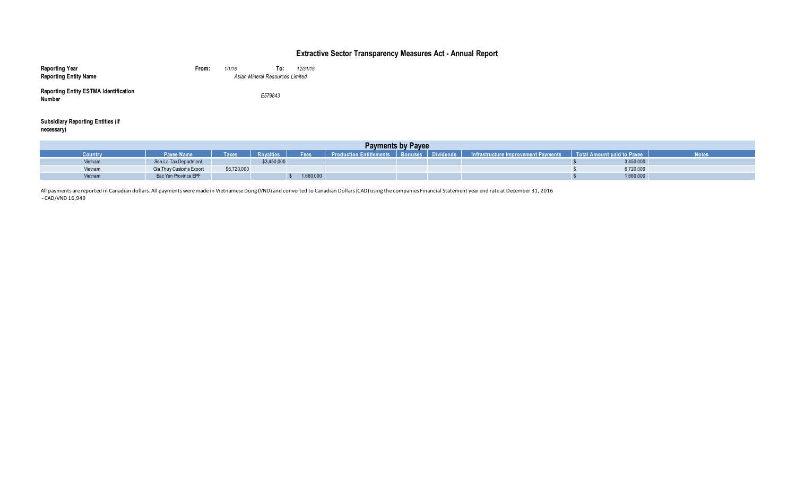# **Extractive Sector Transparency Measures Act - Annual Report**

| <b>Reporting Year</b><br><b>Reporting Entity Name</b>         | From: | 1/1/16<br>Asian Mineral Resources Limited | To: | 12/31/16 |
|---------------------------------------------------------------|-------|-------------------------------------------|-----|----------|
| <b>Reporting Entity ESTMA Identification</b><br><b>Number</b> |       | E579843                                   |     |          |
| <b>Subsidiary Reporting Entities (if</b><br>necessary)        |       |                                           |     |          |

| <b>Payments by Payee</b> |                         |             |                  |          |  |  |  |                                                                                                          |           |       |
|--------------------------|-------------------------|-------------|------------------|----------|--|--|--|----------------------------------------------------------------------------------------------------------|-----------|-------|
| Countrv                  | <b>Davoo Namo</b>       | Taves       | <b>Rovalties</b> | Fees A   |  |  |  | Production Entitlements Ronuses Dividends Infrastructure Improvement Payments Total Amount paid to Payee |           | Notes |
| Vietnam                  | Son La Tax Department   |             | \$3,450,000      |          |  |  |  |                                                                                                          | 3,450,000 |       |
| Vietnam                  | Gia Thuy Customs Export | \$6,720,000 |                  |          |  |  |  |                                                                                                          | 6,720,000 |       |
| Vietnam                  | Bac Yen Province EPF    |             |                  | ,660,000 |  |  |  |                                                                                                          | 1,660,000 |       |

All payments are reported in Canadian dollars. All payments were made in Vietnamese Dong (VND) and converted to Canadian Dollars (CAD) using the companies Financial Statement year end rate at December 31, 2016 - CAD/VND 16,949